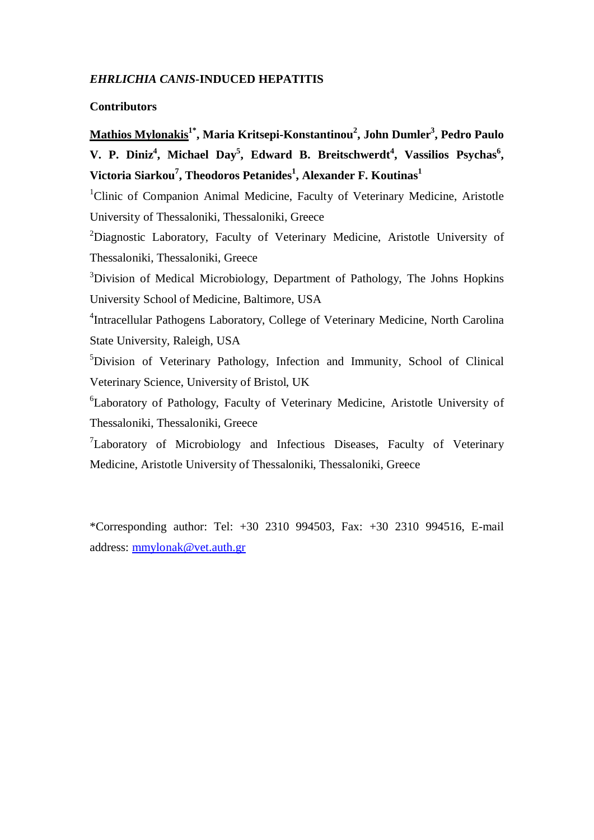# *EHRLICHIA CANIS-***INDUCED HEPATITIS**

# **Contributors**

# **Mathios Mylonakis1\* , Maria Kritsepi-Konstantinou<sup>2</sup> , John Dumler<sup>3</sup> , Pedro Paulo**  V. P. Diniz<sup>4</sup>, Michael Day<sup>5</sup>, Edward B. Breitschwerdt<sup>4</sup>, Vassilios Psychas<sup>6</sup>, **Victoria Siarkou<sup>7</sup> , Theodoros Petanides<sup>1</sup> , Alexander F. Koutinas<sup>1</sup>**

<sup>1</sup>Clinic of Companion Animal Medicine, Faculty of Veterinary Medicine, Aristotle University of Thessaloniki, Thessaloniki, Greece

<sup>2</sup>Diagnostic Laboratory, Faculty of Veterinary Medicine, Aristotle University of Thessaloniki, Thessaloniki, Greece

<sup>3</sup>Division of Medical Microbiology, Department of Pathology, The Johns Hopkins University School of Medicine, Baltimore, USA

4 Intracellular Pathogens Laboratory, College of Veterinary Medicine, North Carolina State University, Raleigh, USA

 ${}^{5}$ Division of Veterinary Pathology, Infection and Immunity, School of Clinical Veterinary Science, University of Bristol, UK

<sup>6</sup>Laboratory of Pathology, Faculty of Veterinary Medicine, Aristotle University of Thessaloniki, Thessaloniki, Greece

<sup>7</sup>Laboratory of Microbiology and Infectious Diseases, Faculty of Veterinary Medicine, Aristotle University of Thessaloniki, Thessaloniki, Greece

\*Corresponding author: Tel: +30 2310 994503, Fax: +30 2310 994516, E-mail address: mmylonak@vet.auth.gr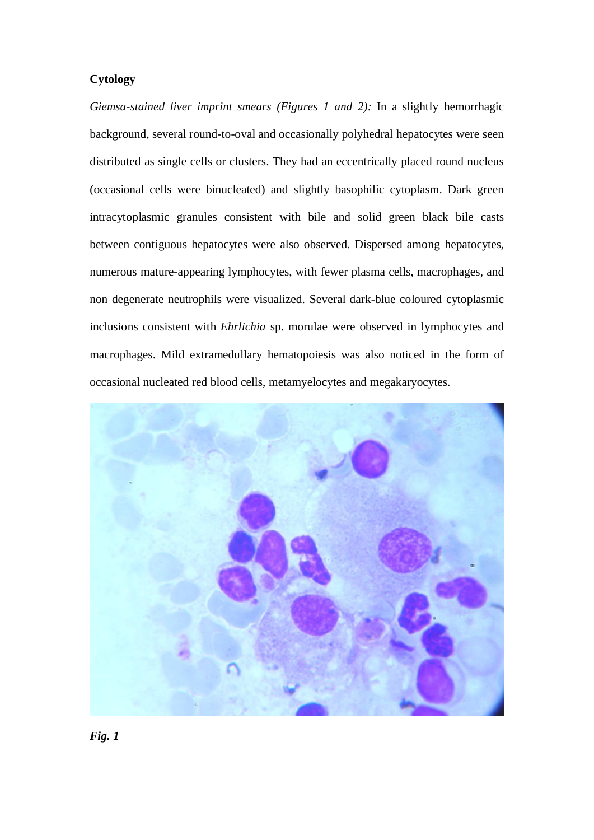## **Cytology**

*Giemsa-stained liver imprint smears (Figures 1 and 2):* In a slightly hemorrhagic background, several round-to-oval and occasionally polyhedral hepatocytes were seen distributed as single cells or clusters. They had an eccentrically placed round nucleus (occasional cells were binucleated) and slightly basophilic cytoplasm. Dark green intracytoplasmic granules consistent with bile and solid green black bile casts between contiguous hepatocytes were also observed. Dispersed among hepatocytes, numerous mature-appearing lymphocytes, with fewer plasma cells, macrophages, and non degenerate neutrophils were visualized. Several dark-blue coloured cytoplasmic inclusions consistent with *Ehrlichia* sp. morulae were observed in lymphocytes and macrophages. Mild extramedullary hematopoiesis was also noticed in the form of occasional nucleated red blood cells, metamyelocytes and megakaryocytes.

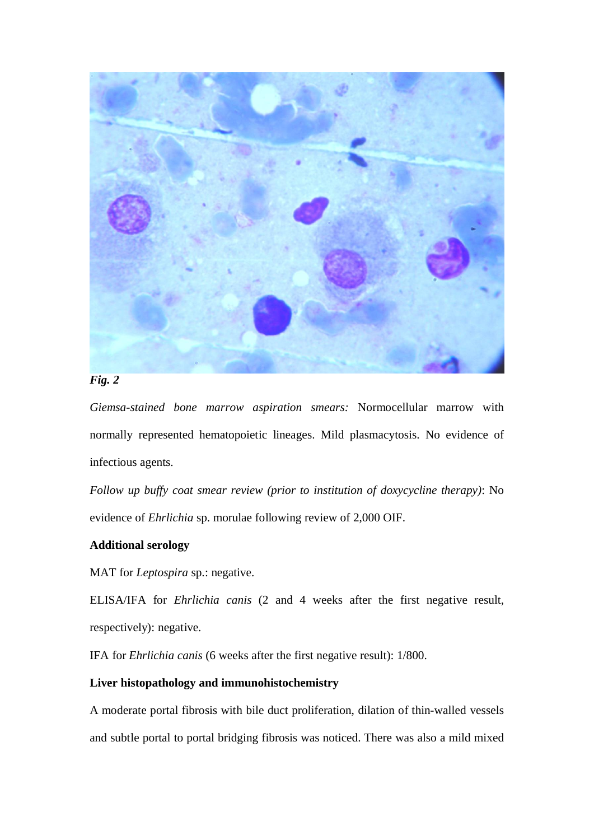

# *Fig. 2*

*Giemsa-stained bone marrow aspiration smears:* Normocellular marrow with normally represented hematopoietic lineages. Mild plasmacytosis. No evidence of infectious agents.

*Follow up buffy coat smear review (prior to institution of doxycycline therapy)*: No evidence of *Ehrlichia* sp. morulae following review of 2,000 OIF.

# **Additional serology**

MAT for *Leptospira* sp.: negative.

ELISA/IFA for *Ehrlichia canis* (2 and 4 weeks after the first negative result, respectively): negative.

IFA for *Ehrlichia canis* (6 weeks after the first negative result): 1/800.

# **Liver histopathology and immunohistochemistry**

A moderate portal fibrosis with bile duct proliferation, dilation of thin-walled vessels and subtle portal to portal bridging fibrosis was noticed. There was also a mild mixed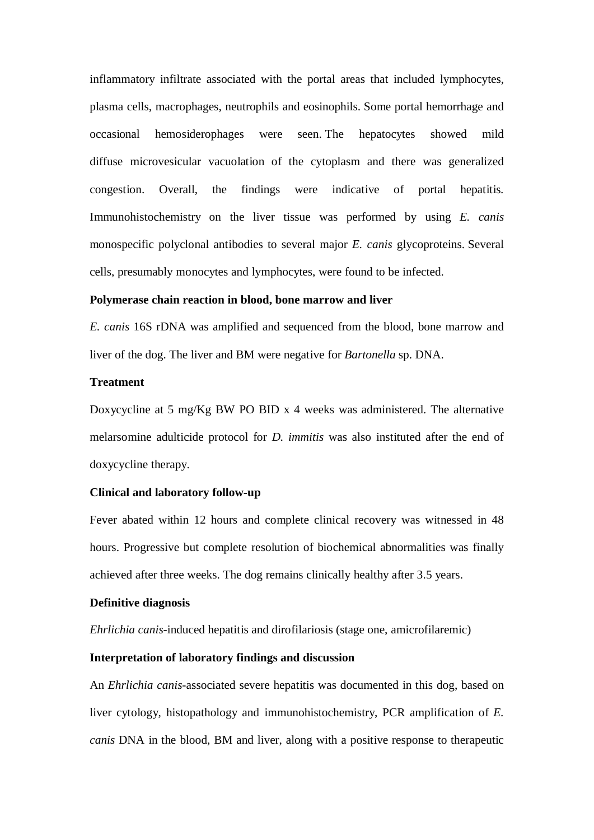inflammatory infiltrate associated with the portal areas that included lymphocytes, plasma cells, macrophages, neutrophils and eosinophils. Some portal hemorrhage and occasional hemosiderophages were seen. The hepatocytes showed mild diffuse microvesicular vacuolation of the cytoplasm and there was generalized congestion. Overall, the findings were indicative of portal hepatitis. Immunohistochemistry on the liver tissue was performed by using *E. canis* monospecific polyclonal antibodies to several major *E. canis* glycoproteins. Several cells, presumably monocytes and lymphocytes, were found to be infected.

#### **Polymerase chain reaction in blood, bone marrow and liver**

*E. canis* 16S rDNA was amplified and sequenced from the blood, bone marrow and liver of the dog. The liver and BM were negative for *Bartonella* sp. DNA.

#### **Treatment**

Doxycycline at 5 mg/Kg BW PO BID x 4 weeks was administered. The alternative melarsomine adulticide protocol for *D. immitis* was also instituted after the end of doxycycline therapy.

#### **Clinical and laboratory follow-up**

Fever abated within 12 hours and complete clinical recovery was witnessed in 48 hours. Progressive but complete resolution of biochemical abnormalities was finally achieved after three weeks. The dog remains clinically healthy after 3.5 years.

#### **Definitive diagnosis**

*Ehrlichia canis*-induced hepatitis and dirofilariosis (stage one, amicrofilaremic)

#### **Interpretation of laboratory findings and discussion**

An *Ehrlichia canis*-associated severe hepatitis was documented in this dog, based on liver cytology, histopathology and immunohistochemistry, PCR amplification of *E. canis* DNA in the blood, BM and liver, along with a positive response to therapeutic